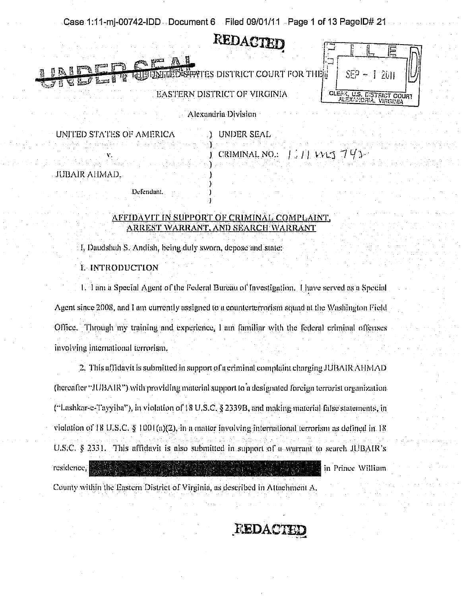Case 1:11-mi-00742-IDD Document 6 Filed 09/01/11 Page 1 of 13 PageID# 21

# REDACTED

**EATES DISTRICT COURT FOR THE** 

|       | $\sqrt{15}$<br>2011                      |  |
|-------|------------------------------------------|--|
| CLERK | U.S. CISTRICT COURT<br>CANDRIA, VIRGINIA |  |

Alexandria Division

EASTERN DISTRICT OF VIRGINIA

UNITED STATES OF AMERICA UNDER SEAL CRIMINAL NO.: 1111 WAS 793 JUBAIR AHMAD.

## AFFIDAVIT IN SUPPORT OF CRIMINAL COMPLAINT. ARREST WARRANT, AND SEARCH WARRANT

I, Daudshah S. Andish, being duly sworn, depose and state.

I. INTRODUCTION

Defendant.

1. I am a Special Agent of the Federal Bureau of Investigation. Thave served as a Special Agent since 2008, and I am currently assigned to a counterterrorism squad at the Washington Field Office. Through my training and experience, I am familiar with the federal criminal offenses involving international terrorism.

2. This affidavit is submitted in support of a criminal complaint charging JUBAIR AHMAD (hereafter "JUBAIR") with providing material support to a designated foreign terrorist organization ("Lashkar-e-Tayyiba"), in violation of 18 U.S.C. § 2339B, and making material false statements, in violation of 18 U.S.C. § 1001(a)(2), in a matter involving international terrorism as defined in 18. U.S.C. § 2331. This affidavit is also submitted in support of a warrant to search JUBAIR's residence. in Prince William

County within the Eastern District of Virginia, as described in Attachment A.

# REDACTE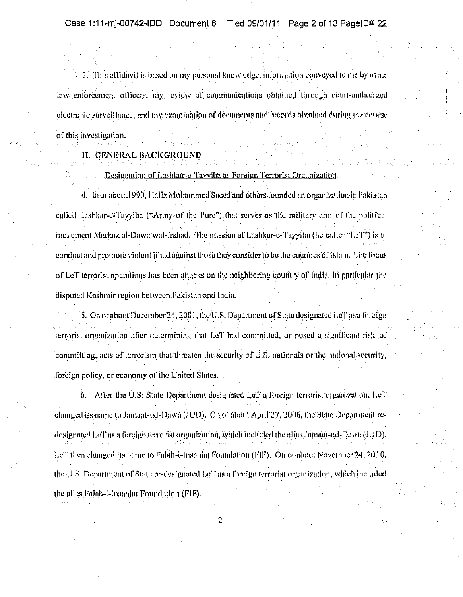3. This affidavit is based on my personal knowledge, information conveyed to me by other law enforcement officers, my review of communications obtained through court-authorized electronic surveillance, and my examination of documents and records obtained during the covrse of this investigation.

#### II. GENERAL BACKGROUND

#### Designation of Lashkar-e-Tavyiba as Foreign Terrorist Organization

4. In orabout 1990, Hafiz Mohammed Saeed and others founded an organization in Pakistan ealled Lashkar-e-Tayyiba ("Army of the Pure") that serves as the military arm of the political movement Markaz al-Dawa wal-Irshad. The mission of Lashkar-e-Tayyiba (hereafter "LeT") is to conduct and promote violent illiad against those they consider to be the enemies of Islam. The focus of LeT terrorist operations has been attacks on the neighboring country of India, in particular the disputed Kashmir region between Pakistan and India.

5. On or about December 24, 2001, the U.S. Department of State designated LeT as a foreign terrorist organization after determining that LeT had committed, or posed a significant risk of committing, acts of terrorism that threaten the security of  $\overline{U}$ .S. nationals or the national security, foreign policy, or economy of the United States.

6. After the U.S. State Department designated LeT a foreign terrorist organization, LeT changed its name to Jamaat-ad-Dawa (JUD). On or about April 27, 2006, the State Department redesignated LeT as a foreign terrorist organization, which included the alias Jamaat-ud-Dawa (JUD). LeT then changed its name to Falah-i-Insaniat Foundation (FIF). On or about November 24, 2010. the U.S. Department of State re-designated LeT as a foreign terrorist organization, which included the alias Falah-i-Insaniat Foundation (FIF).

 $\mathbf{2}$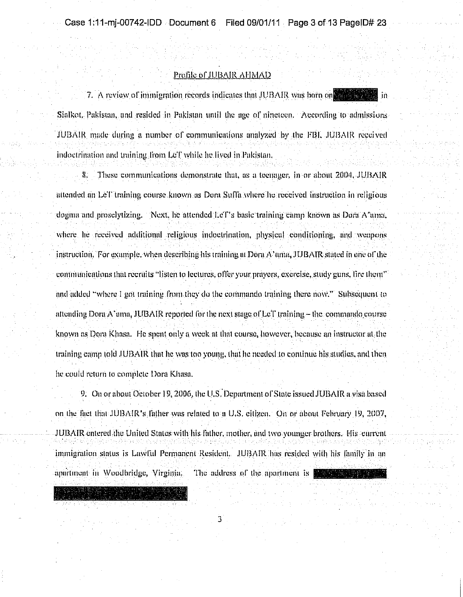## Profile of JUBAIR AHMAD

7. A review of immigration records indicates that JUBAIR was born on the line Sialkot, Pukistan, and resided in Pakistan until the age of nineteen. According to admissions JUBAIR made during a number of communications analyzed by the FBI, JUBAIR received indoctrination and training from LeT while he lived in Pakistan.

These communications demonstrate that, as a teenager, in or about 2004, JUBAIR 8. attended an LeT training course known as Dora Suffa where he received instruction in religious dogma and proselvtizing. "Next, he attended he'T's basic training camp known as Dora A'ama, where he received additional religious indoctrination, physical conditioning, and weapons instruction. For example, when describing his training at Dora A' ama, JUBAIR stated in one of the communications that recruits "listen to lectures, offer your prayers, exercise, study guns, lire them" and added "where I got training from they do the commando training there now." Subsequent to attending Dora A'ama, JUBAIR reported for the next stage of LeT training - the commando course known as Dora Khasa. He spent only a week at that course, however, because an instructor at the training camp told JUBAIR that he was too young, that he needed to continue his studies, and then he could return to complete Dora Khasa.

9. On or about October 19, 2006, the U.S. Department of State issued JUBAIR a visa based on the fact that JUBAIR's father was related to a U.S. citizen. On or about February 19, 2007, JUBAIR entered the United States with his father, mother, and two younger brothers. His current immigration status is Lawful Permanent Resident. JUBAIR has resided with his family in an apartment in Woodbridge, Virginia. The address of the apartment is the state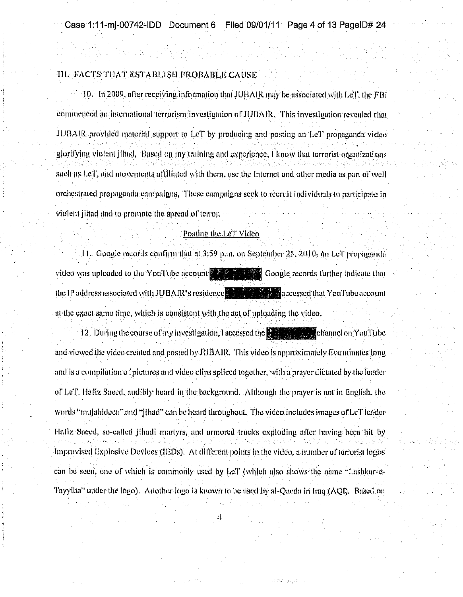## HI. FACTS THAT ESTABLISH PROBABLE CAUSE

10. In 2009, after receiving information that JUBAIR may be associated with LeT, the FBI commenced an international terrorism investigation of JUBAIR. This investigation revealed that JUBAIR provided material support to LeT by producing and posting an LeT propaganda victor glorifying violent jihad. Based on my training and experience, I know that terrorist organizations such as LeT, and movements affiliated with them, use the Internet and other media as part of well orchestrated propaganda campaigns. These campaigns seek to recruit individuals to narticipate in violent jihad and to promote the spread of terror.

#### Posting the LeT Video

11. Google records confirm that at 3:59 p.m. on September 25, 2010, an LeT propaganda video was uploaded to the YouTube account the settlement Google records further indicate that the IP address associated with JUBAIR's residence that the magnetic flat YouTube account at the exact same time, which is consistent with the act of uploading the video.

12. During the course of my investigation, I accessed the **the contract of the channel on YouTube** and viewed the video created and posted by JUBAIR. This video is approximately five minutes long and is a compilation of pictures and video clips spliced together, with a prayer dictated by the leader of Lef', Hafiz Saced, audibly heard in the background. Although the prayer is not in English, the words "mujahideen" and "jihad" can be heard throughout. The video includes images of LeT leader Hafiz Saced, so-called jihadi martyrs, and armored trucks exploding after having been hit by Improvised Explosive Devices (IEDs). At different points in the video, a number of terrorist logos can be seen, one of which is commonly used by LeT (which also shows the name "Lashkar-e-Tayyiba'' under the logo). Another logo is known to be used by al-Qaeda in Iraq (AQI). Based on

special companies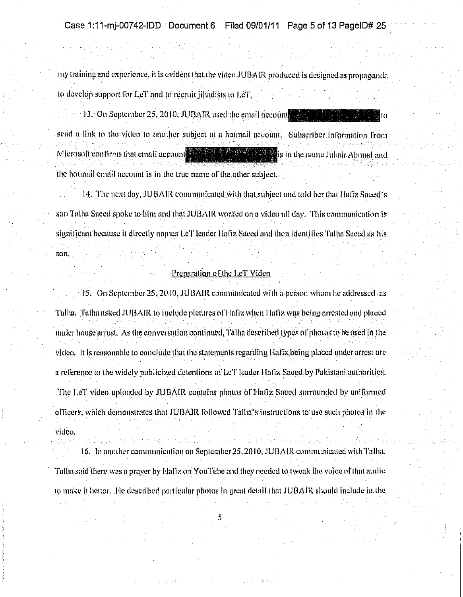Case 1:11-mj-00742-IDD Document 6 Filed 09/01/11 Page 5 of 13 PageID# 25

my training and experience, it is evident that the video JUBAIR produced is designed as propaganda to develop support for LeT and to recruit iihadists to LeT.

13. On September 25, 2010, JUBAIR used the email account send a link to the video to another subject at a hotmail account. Subscriber information from Microsoft confirms that email account the state **Example 1** is in the name Jubair Ahmad and the hotmail email account is in the true name of the other subject.

14. The next day, JUBAIR communicated with that subject and told her that Flafiz Saded's. son Talha Saced spoke to him and that JUBAIR worked on a video all day. This communication is significant because it directly names LeT leader Hafiz Saced and then identifies Talha Saced as his son.

#### Preparation of the LeT Video

45. On Sentember 25, 2010, JUBAIR communicated with a nerson whom he addressed as Talha. Talha asked JUBAIR to include pictures of Hafiz when Hafiz was being arrested and placed under house arrest. As the conversation continued, Talha described types of photos to be used in the video. It is reasonable to conclude that the statements regarding Hafiz being placed under arrest are a reference to the widely publicized detentions of LeT leader Hafiz Saced by Pakistani authorities. The LeT video uploaded by JUBAIR contains photos of Hafiz Saced surrounded by uniformed officers, which demonstrates that JUBAIR followed Talha's instructions to use such photos in the vidco.

16. In another communication on September 25, 2010, JUBAIR communicated with Talha. Tallia said there was a prayer by Hafiz on YouTube and they needed to tweak the voice of that audio to make it better. He described particular photos in great detail that JUBAIR should include in the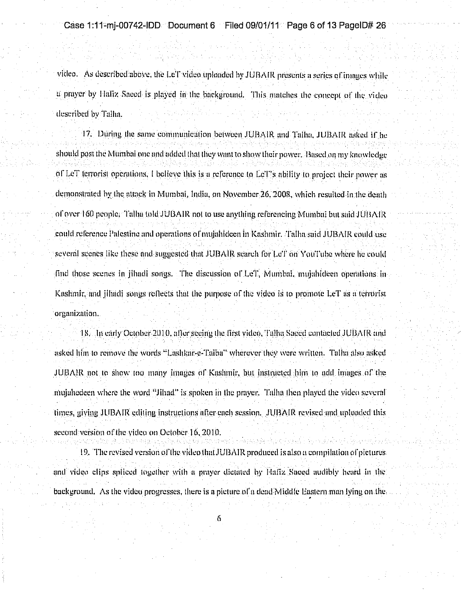Case 1:11-mi-00742-IDD Document 6 Filed 09/01/11 Page 6 of 13 PageID# 26

video. As described above, the LeT video uploaded by JUBAIR presents a series of images while a prayer by Hafiz Saeed is played in the background. This matches the concept of the victeo described by Talha.

17. During the same communication between JUBAIR and Talha, JUBAIR asked if he should post the Mumbal one and added that they want to show their power. Based on my knowledge of LeT terrorist operations. I believe this is a reference to LeT's ability to project their nower as demonstrated by the attack in Mumbai, India, on November 26, 2008, which resulted in the death of over 160 people. Talha told JUBAIR not to use anything referencing Mumbai but said JUBAIR could reference Palestine and operations of mulahideen in Kashmir. Talha said JUBAIR could use several scenes like these and suggested that JUBAIR scarch for LeT on YouTube where he could find those scenes in jihadi songs. The discussion of LeT, Mumbai, mujahideen operations in-Kashmir, and jihadi songs reflects that the purpose of the video is to promote LeT as a terrorist organization.

18. In early October 2010, after seeing the first video, Tallia Saccd contacted JUBAIR and asked lifm to remove the Words "Lashkar-e-Taiba" wherever they were written. Talha also asked JUBAIR not to show too many linages of Kashmir, but instructed him to add images of the mulghedeen where the word "Jihad" is spoken in the prayer. Talha then played the video several times, giving JUBAIR editing instructions after each session. JUBAIR revised and uploaded this second version of the video on October 16, 2010.

19. The revised version of the video that JUBAIR produced is also a compilation of pictures and video clips spliced together with a prayer dictated by Haftz Saeed audibly heard in the background. As the video progresses, there is a picture of a dead Middle Eastern man lying on the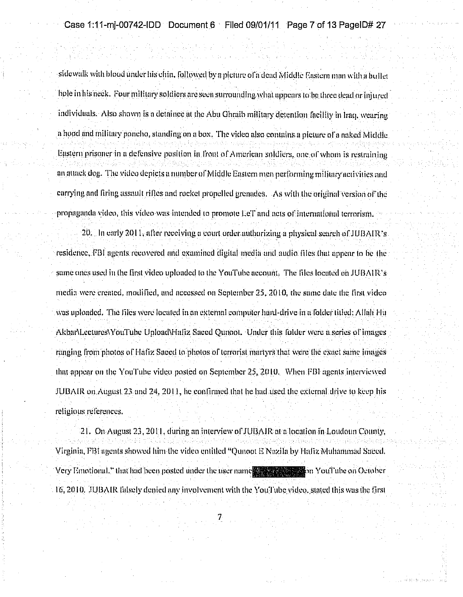sidewalk with blood under his chin, followed by a picture of a dead Middle Eastern man with a buffet hole in his neck. Four military soldiers are seen surrounding what appears to be three dead or injured individuals. Also shown is a detainee at the Abu Ghraib military detention facility in Iraq, wearing a hood and military noncho, standing on a box. The video also contains a nicture of a naked Middle. Eastern prisoner in a defensive position in front of American soldiers, one of whom is restraining an attack dog. The video depicts a number of Middle Eastern men nerforming military activities and carrying and firing assault rifles and rocket propelled grenades. As with the original version of the propaganda video, this video was intended to promote LeT and acts of international terrorism.  $20$ . In early  $2011$ , after receiving a court order authorizing a physical search of TUBAIR's. residence, FBI agents recovered and examined digital media and audio files that appear to be the same ones used in the first video uploaded to the YouTube account. The files located on JUBAIR's media were created, modified, and accessed on September 25, 2010, the same date the first videowas uploaded. The files were located in an external computer hard-drive in a folder titled; Allah Hu AkbarMectures/YouTube Upload\Hufiz Saeed Qunoot. Under this folder were a series of images ranging from photos of Hafiz Saced to photos of terrorist martyrs that were the exact same images that appear on the YouTube video posted on September 25, 2010. When FBI agents interviewed

religious references.

21. On August 23, 2011, during an interview of JUBAIR at a location in Loudoun County. Virginia, FBI agents showed him the video entitled "Qunoot E Nazila by Haliz Muhammad Saeed. Very Emotional," that had been posted under the user names and the state on YouTube on October 16, 2010. JUBAIR falsely denied any involvement with the YouTube video, stated this was the first

JUBAIR on August 23 and 24, 2011, he confirmed that he had used the external drive to keep his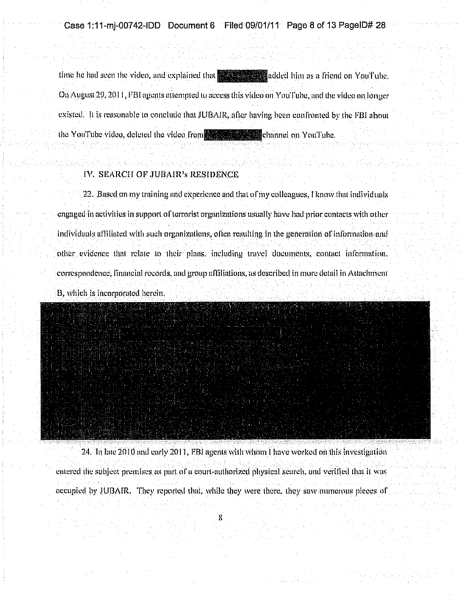time he had seen the video, and explained that **All and the added** him as a friend on YouTube. On August 29, 2011. FBI agents attempted to access this video on You Fube, and the video no longer existed. It is reasonable to conclude that JUBAIR, after having been confronted by the FBI about the YouTube video, deleted the video from the state of the channel on YouTube.

#### IV. SEARCH OF JUBAIR's RESIDENCE

22. Based on my training and experience and that of my colleagues. I know that individuals engaged in activities in support of terrorist organizations usually have had prior contacts with other individuals affiliated with such organizations, often resulting in the generation of information and other evidence that relate to their plans, including travel documents, contact information, correspondence, financial records, and group affiliations, as described in more detail in Attachment B, which is incorporated herein.



24. In late 2010 and early 2011, FBI agents with whom I have worked on this investigation entered the subject premises as part of a court-authorized physical search, and verified that it was

occupied by JUBAIR. They reported that, while they were there, they saw numerous pieces of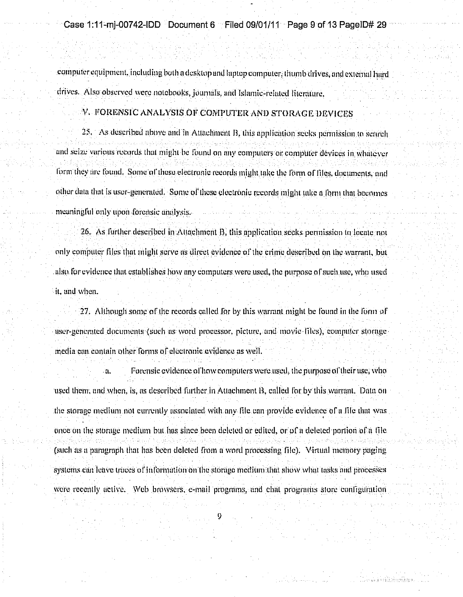computer equipment, including both a desktop and lantop computer; thumb drives, and external hard drives. Also observed were notebooks, journals, and Islamic-related literature.

#### V. FORENSIC ANALYSIS OF COMPUTER AND STORAGE DEVICES

25. As described above and in Attachment B, this application seeks permission to search. and seize various records that might be found on any computers or computer devices in whatever form they are found. Some of these electronic records might take the form of files, documents, and other data that is user-generated. Some of these electronic records might take a form that becomes meaningful only upon forensic analysis.

26. As further described in Attachment B, this application seeks permission in locate not only computer files that might serve as direct evidence of the crime described on the warrant, but also for evidence that establishes how any computers were used, the purpose of such use, who used it, and when.

27. Although some of the records called for by this warrant might be found in the form of user-generated documents (such as word processor, picture, and movie files), computer storage media can contain other forms of electronic evidence as well.

Forensic evidence of how computers were used, the purpose of their use, who йL. used them, and when, is, as described further in Attachment B, called for by this warrant. Data on the storage medium not currently associated with any file can provide evidence of a file that was once on the storage medium but has since been deleted or edited, or of a deleted portion of a file (such as a paragraph that has been deleted from a word processing file). Virtual memory paging systems can leave traces of information on the storage medium that show what tasks and processes were recently active. Web browsers, e-mail programs, and chat programs store configuration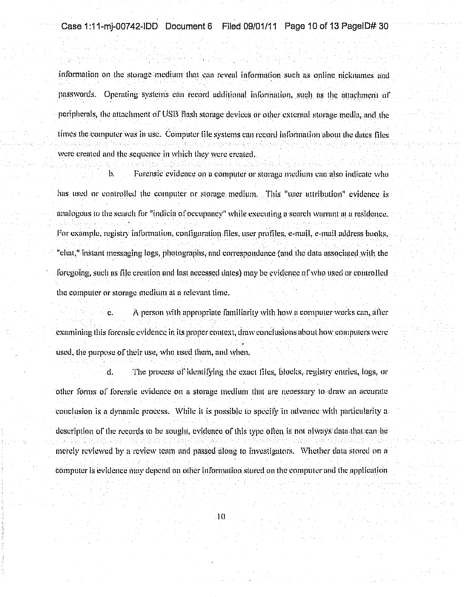information on the storage medium that can reveal information such as online nicknames and passwords. Operating systems can record additional information, such as the attachment of peripherals, the attachment of USB flash storage devices or other external storage media, and the times the computer was in use. Computer file systems can record information about the dates files were created and the sequence in which they were created.

b. Forensic evidence on a computer or storage medium can also indicate who has used or controlled the computer or storage medium. This "user attribution" evidence is analogous to the search for "indicia of occupancy" while executing a search warrant at a residence. For example, registry information, configuration files, user profiles, e-mail, e-mail address books. "clint," instant messaging logs, photographs, and correspondence (and the data associated with the foregoing, such as file creation and last accessed dates) may be evidence of who used or controlled the computer or storage medium at a relevant time.

Ċ. A person with appropriate familiarity with how a computer works can, after examining this forensic evidence in its proper context, draw conclusions about how computers were used, the purpose of their use, who used them, and when.

The process of identifying the exact files, blocks, registry entries, logs, or d. other forms of forensic evidence on a storage medium that are necessary to draw an accurate conclusion is a dynamic process. While it is possible to specify in advance with particularity a description of the records to be sought, evidence of this type often is not always data that can be merely reviewed by a review team and passed along to investigators. Whether data stored on a computer is evidence may depend on other information stored on the computer and the application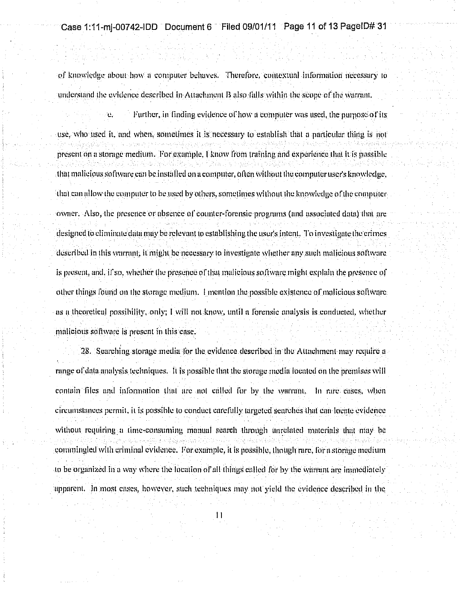## Case 1:11-mj-00742-IDD Document 6 Filed 09/01/11 Page 11 of 13 PageID# 31

of knowledge about how a computer behaves. Therefore, contextual information necessary to understand the evidence described in Attachment B also falls within the scope of the warrant.

Further, in finding evidence of how a commuter was used, the nurnose of its ¥. use, who used it, and when, sometimes it is necessary to establish that a narticular thing is not present on a storage medium. For example, I know from training and experience that it is possible that malicious software can be installed on a computer, often without the computer user's knowledge. that can allow the computer to be used by others, sometimes without the knowledge of the computerowner. Also, the presence or absence of counter-forensic programs (and associated data) that are designed to eliminate data may be relevant to establishing the user's intent. To investigate the crimes described in this warrant, it might be necessary to investigate whether any such malicious software. Is present, and, if so, whether the presence of that malicious software might explain the presence of other things found on the storage medium. I mention the possible existence of malicious software. as a theoretical possibility, only; I will not know, until a forensic analysis is conducted, whether malicious software is present in this case.

[28] Searching storage media for the evidence described in the Attachment may require a range of data analysis techniques. It is possible that the storage media located on the premises will contain files and information that are not called for by the warrant. In rare cases, when circumstances permit, it is possible to conduct carefully targeted searches that can locate evidence without requiring a time-consuming manual search through unrelated materials that may be commingled with criminal evidence. For example, it is possible, though rare, for a storage medium to be organized in a way where the location of all things called for by the warrant are immediately apparent. In most cases, however, such techniques may not yield the evidence described in the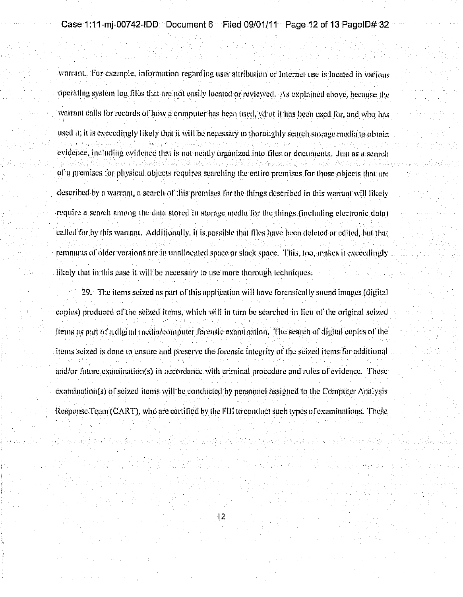Case 1:11-mi-00742-IDD · Document 6 · · Filed 09/01/11 · Page 12 of 13 PageID# 32

warrant. For example, information regarding user attribution or Internet use is located in various operating system log files that are not easily located or reviewed. As explained above, because the warrant calls for records of how a computer has been used, what it has been used for, and who has used it, it is exceedingly likely that it will be necessary to thoroughly search storage media to obtain evidénce, including evidence that is not neatly organized into files or documents. Just as a search of a premises for physical objects requires searching the entire premises for those objects that are described by a warrant, a search of this premises for the things described in this warrant will likely require a search among the data stored in storage media for the things (including electronic data) called for by this warrant. Additionally, it is possible that files have been deleted or edited, but that reminants of older versions are in unallocated space or slack space. This, too, makes it exceedingly likely that in this case it will be necessary to use more thorough techniques.

29. The items seized as part of this application will have forensically sound images (digital copies) produced of the seized items, which will in turn be searched in lieu of the original seized items as part of a digital media/computer forensic examination. The search of digital copies of the items seized is done to ensure and preserve the forensic integrity of the seized items for additional. and/or future examination(s) in necordance with criminal procedure and rules of evidence. These examination(s) of seized items will be conducted by personnel assigned to the Computer Analysis Response Team (CART), who are certified by the FBI to conduct such types of examinations. These

 $12<sub>1</sub>$ 

ત્યા પ્રાપ્ત કે જ બાણે વી તેમ સંવત પણ જ બાણે સમય સિક્ષા મારી મુખ્યમંત્રી કે તે તે તે તે તે તે મારી સાથે વાંચ મ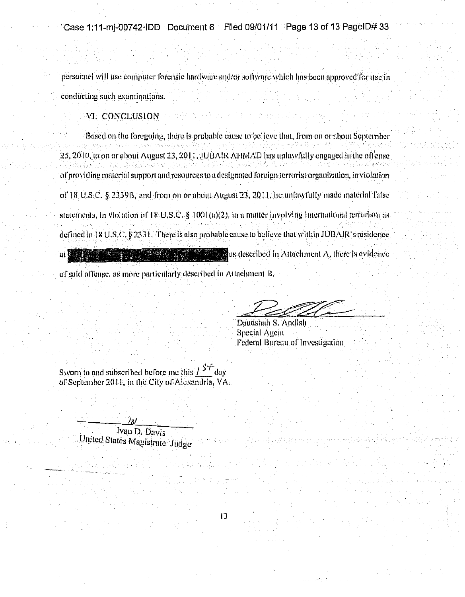personnel will use computer forensic hardware and/or software which has been approved for use in conducting such examinations.

### VI. CONCLUSION

Based on the foregoing, there is probable cause to believe that, from on or about September 25, 2010, to on or about August 23, 2011, JUBAIR AHMAD has unlawfully engaged in the offense of providing material support and resources to a designated foreign terrorist organization, in violation of 18 U.S.C. § 2339B, and from on or about August 23, 2011, he unlawfully made material false statements, in violation of  $TRU.S.C.$   $\frac{1}{5}1001(a)(2)$ , in a matter involving international terrorism as defined in 18 U.S.C. § 2331. There is also probable cause to believe that within JUBAIR's residence  $\mathbb{Z}$  as described in Attachment A, there is evidence 'ait ]

 $\vert$ 3

of said offense, as more particularly described in Attachment B.

Daudshah S. Andish Special Agent Federal Bureau of Investigation

Sworn to and subscribed before me this  $l^{ST}$  day of September 2011, in the City of Alexandria, VA.

> Ivan D. Davis United States Magistrate Judge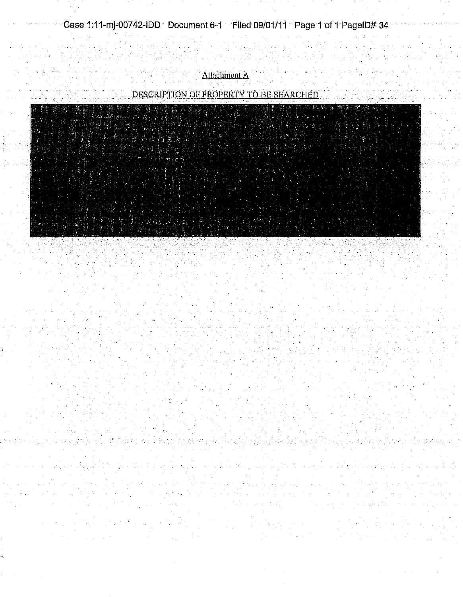a kacamatan ing Kabupatèn Bara

Attachment A

an an Alba.<br>Mga pangayay

## DESCRIPTION OF PROPERTY TO BE SEARCHED



ment de este de la Grece d'Alexandre, la calidad de la Grece (Caraca) i

a kacamatan ing Kabupatèn Kabupatèn Ing Kabupatèn Ing Kabupatèn Kabupatèn Kabupatèn Kabupatèn Kabupatèn Kabupatèn de Salegara (P and Car  $\mathcal{L}^{\mathcal{A}}(\mathcal{A},\mathcal{C}) = \mathcal{L}^{\mathcal{A}}(\mathcal{A},\mathcal{C}) = \mathcal{L}^{\mathcal{A}}(\mathcal{A},\mathcal{C}) = \mathcal{L}^{\mathcal{A}}(\mathcal{A},\mathcal{C}) = \mathcal{L}^{\mathcal{A}}(\mathcal{A},\mathcal{C})$  $\mathcal{L}^{\text{max}}(\mathcal{L}^{\text{max}})$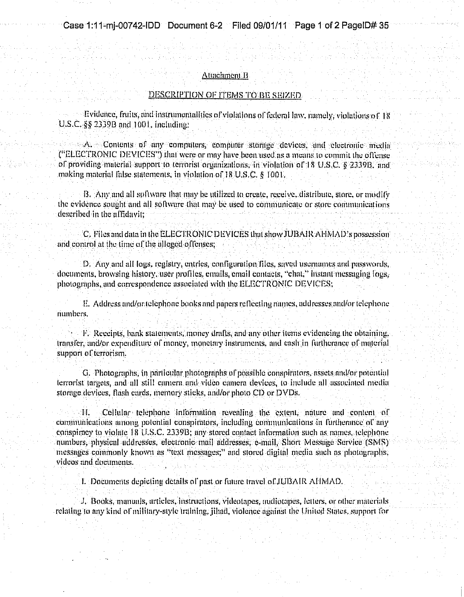#### Attachment B

#### DESCRIPTION OF ITEMS TO BE SEIZED

Evidence, fruits, and instrumentalities of violations of federal law, namely, violations of 18 U.S.C. §§ 2339B and 1001. including:

A. Contents of any computers, computer storage devices and electronic media ("ELECTRONIC DEVICES") that were or may have been used as a means to commit the offense. of providing material support to terrorist organizations, in violation of 18 U.S.C. § 2339B, and making material false statements, in violation of 18 U.S.C. § 1001.

B. Any and all software that may be utilized to create, receive, distribute, store, or modify the evidence sought and all software that may be used to communicate or store communications described in the affidavit;

C. Files and data in the ELECTRONIC DEVICES that show JUBAIR AFMAD's possession and control at the time of the alleged offenses;

D. Any and all logs, registry, entries, configuration files, saved usemaines and passwords. documents, browsing history, user profiles, emails, email contacts, "chat," instant messaging fous. photographs, and correspondence associated with the ELECTRONIC DEVICES;

E. Address and/or telephone books and papers reflecting names, addresses and/or telephone numbers.

 $\mathcal{F}$ . Receipts, bank statements, money drufts, and any other items evidencing the obtaining. transfer, and/or expenditure of money, monetary instruments, and easir in furtherance of material support of terrorism.

G. Photographs, in particular photographs of possible conspirators, assets and/or potential terrorist targets, and all still camera and video camera devices, to include all associated media storage devices, flash cards, memory sticks, and/or photo CD or DVDs.

Cellular telephone information revealing the extent, nature and content of **H** communications among potential conspirators, including communications in furtherance of any conspiracy to violate 18 U.S.C. 2339B; any stored contact information such as names, telephone numbers, physical addresses, electronic mail addresses, e-mail, Short Message Service (SMS) messages commonly known as "text messages;" and stored digital media such as photographs, videos and documents.

I. Documents depicting details of past or future travel of JUBAIR AHMAD.

J. Books, manuals, articles, instructions, videotapes, audiotapes, letters, or other materials relating to any kind of military-style training, jihad, violence against the United States, support for